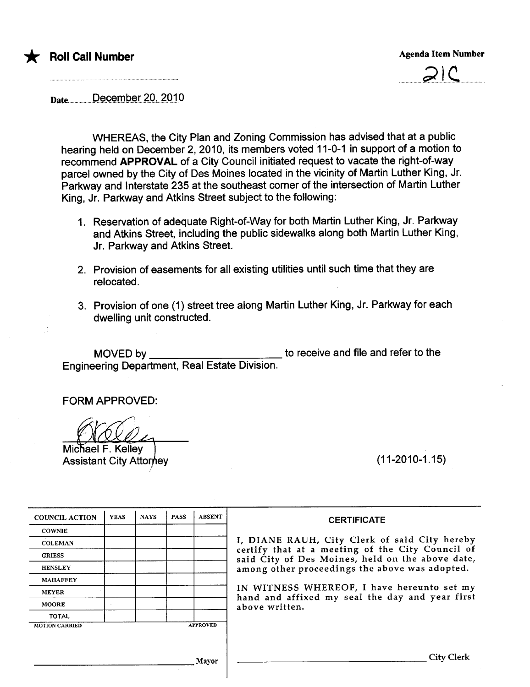



Date...................p..açe..m.b.-r~r..4.Ql...2.Q.1.0

WHEREAS, the City Plan and Zoning Commission has advised that at a public hearing held on December 2,2010, its members voted 11-0-1 in support of a motion to recommend APPROVAL of a City Council initiated request to vacate the right-of-way parcel owned by the City of Des Moines located in the vicinity of Martin Luther King, Jr. Parkway and Interstate 235 at the southeast corner of the intersection of Martin Luther King, Jr. Parkway and Atkins Street subject to the following:

- 1. Reservation of adequate Right-of-Way for both Martin Luther King, Jr. Parkway and Atkins Street, including the public sidewalks along both Martin Luther King, Jr. Parkway and Atkins Street.
- 2. Provision of easements for all existing utilities until such time that they are relocated.
- 3. Provision of one (1) street tree along Martin Luther King, Jr. Parkway for each dwelling unit constructed.

MOVED by to receive and file and refer to the Engineering Department, Real Estate Division.

FORM APPROVED:

Michael F. Kelley

**Assistant City Attorney** 

(11-2010-1.15)

| <b>COUNCIL ACTION</b> | <b>YEAS</b>     | <b>NAYS</b> | <b>PASS</b> | <b>ABSENT</b> |
|-----------------------|-----------------|-------------|-------------|---------------|
| <b>COWNIE</b>         |                 |             |             |               |
| <b>COLEMAN</b>        |                 |             |             |               |
| <b>GRIESS</b>         |                 |             |             |               |
| <b>HENSLEY</b>        |                 |             |             |               |
| <b>MAHAFFEY</b>       |                 |             |             |               |
| <b>MEYER</b>          |                 |             |             |               |
| <b>MOORE</b>          |                 |             |             |               |
| <b>TOTAL</b>          |                 |             |             |               |
| <b>MOTION CARRIED</b> | <b>APPROVED</b> |             |             |               |

#### **CERTIFICATE**

I, DIANE RAUH, City Clerk of said City hereby certify that at a meeting of the City Council of said City of Des Moines, held on the above date, among other proceedings the above was adopted.

IN WITNESS WHEREOF, I have hereunto set my hand and affixed my seal the day and year first above written.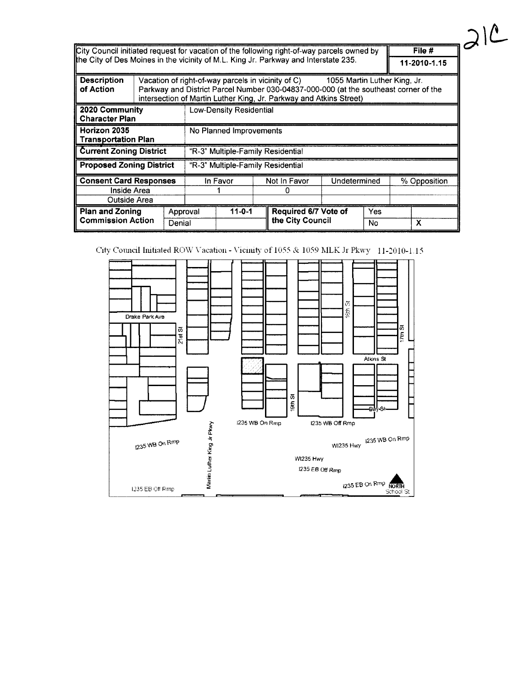| City Council initiated request for vacation of the following right-of-way parcels owned by $\ $ | File #                   |
|-------------------------------------------------------------------------------------------------|--------------------------|
| the City of Des Moines in the vicinity of M.L. King Jr. Parkway and Interstate 235.             | $\parallel$ 11-2010-1.15 |

| <b>Description</b><br>of Action         |                                   |          | Vacation of right-of-way parcels in vicinity of C)<br>1055 Martin Luther King, Jr.<br>Parkway and District Parcel Number 030-04837-000-000 (at the southeast corner of the<br>intersection of Martin Luther King, Jr. Parkway and Atkins Street) |              |  |                      |              |     |              |   |
|-----------------------------------------|-----------------------------------|----------|--------------------------------------------------------------------------------------------------------------------------------------------------------------------------------------------------------------------------------------------------|--------------|--|----------------------|--------------|-----|--------------|---|
| 2020 Community<br><b>Character Plan</b> | <b>Low-Density Residential</b>    |          |                                                                                                                                                                                                                                                  |              |  |                      |              |     |              |   |
| Horizon 2035<br>∥ Transportation Plan   | No Planned Improvements           |          |                                                                                                                                                                                                                                                  |              |  |                      |              |     |              |   |
| <b>Current Zoning District</b>          | "R-3" Multiple-Family Residential |          |                                                                                                                                                                                                                                                  |              |  |                      |              |     |              |   |
| <b>Proposed Zoning District</b>         | "R-3" Multiple-Family Residential |          |                                                                                                                                                                                                                                                  |              |  |                      |              |     |              |   |
|                                         | <b>Consent Card Responses</b>     |          |                                                                                                                                                                                                                                                  | In Favor     |  | Not In Favor         | Undetermined |     | % Opposition |   |
| Inside Area                             |                                   |          |                                                                                                                                                                                                                                                  |              |  |                      |              |     |              |   |
| Outside Area                            |                                   |          |                                                                                                                                                                                                                                                  |              |  |                      |              |     |              |   |
| <b>Plan and Zoning</b>                  |                                   | Approval |                                                                                                                                                                                                                                                  | $11 - 0 - 1$ |  | Required 6/7 Vote of |              | Yes |              |   |
| <b>Commission Action</b>                | Denial                            |          |                                                                                                                                                                                                                                                  |              |  | the City Council     |              | No  |              | x |

 $312$ 

 $File #$ 

City Council Initiated ROW Vacation - Vicinity of 1055 & 1059 MLK Jr Pkwy 11-2010-1.15

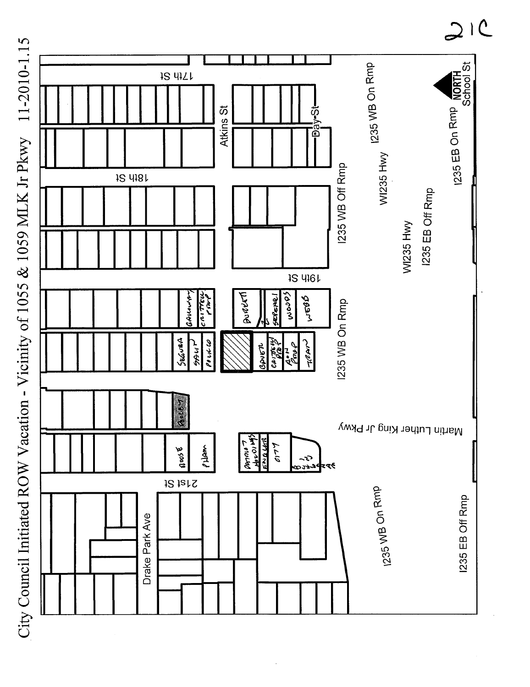City Council Initiated ROW Vacation - Vicinity of 1055 & 1059 MLK Jr Pkwy 11-2010-1.15



 $21C$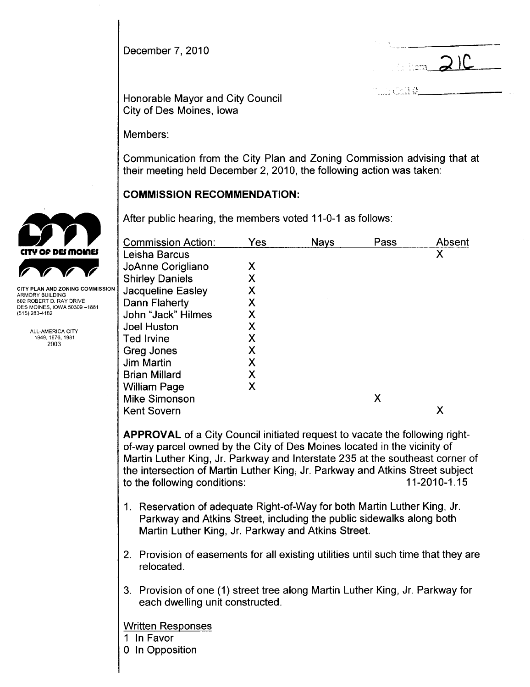December 7, 2010

 $21$ 

 $\frac{1}{2}$  ;  $\frac{1}{2}$  ;  $\frac{1}{2}$  ;  $\frac{1}{2}$  ;  $\frac{1}{2}$  ;  $\frac{1}{2}$  ;  $\frac{1}{2}$  ;  $\frac{1}{2}$  ;  $\frac{1}{2}$  ;  $\frac{1}{2}$  ;  $\frac{1}{2}$  ;  $\frac{1}{2}$  ;  $\frac{1}{2}$  ;  $\frac{1}{2}$  ;  $\frac{1}{2}$  ;  $\frac{1}{2}$  ;  $\frac{1}{2}$  ;  $\frac{1}{2}$  ;  $\frac{1$ 

Honorable Mayor and City Council City of Des Moines, Iowa

Members:

Communication from the City Plan and Zoning Commission advising that at their meeting held December 2, 2010, the following action was taken:

# COMMISSION RECOMMENDATION:

After public hearing, the members voted 11-0-1 as follows:

|                                                                                                                                          | <b>Commission Action:</b>                                                                                                                                                                                                                                                                                                                                        | Yes | <b>Nays</b> | Pass | Absent       |
|------------------------------------------------------------------------------------------------------------------------------------------|------------------------------------------------------------------------------------------------------------------------------------------------------------------------------------------------------------------------------------------------------------------------------------------------------------------------------------------------------------------|-----|-------------|------|--------------|
| CITY OF DES MOINES                                                                                                                       | Leisha Barcus                                                                                                                                                                                                                                                                                                                                                    |     |             |      | X            |
|                                                                                                                                          | JoAnne Corigliano                                                                                                                                                                                                                                                                                                                                                | X   |             |      |              |
|                                                                                                                                          | <b>Shirley Daniels</b>                                                                                                                                                                                                                                                                                                                                           | Χ   |             |      |              |
| <b>CITY PLAN AND ZONING COMMISSION</b><br>ARMORY BUILDING<br>602 ROBERT D. RAY DRIVE<br>DES MOINES, IOWA 50309 -- 1881<br>(515) 283-4182 | Jacqueline Easley                                                                                                                                                                                                                                                                                                                                                | X   |             |      |              |
|                                                                                                                                          | Dann Flaherty                                                                                                                                                                                                                                                                                                                                                    | X   |             |      |              |
|                                                                                                                                          | John "Jack" Hilmes                                                                                                                                                                                                                                                                                                                                               | X   |             |      |              |
| ALL-AMERICA CITY<br>1949, 1976, 1981<br>2003                                                                                             | Joel Huston                                                                                                                                                                                                                                                                                                                                                      | Χ   |             |      |              |
|                                                                                                                                          | Ted Irvine                                                                                                                                                                                                                                                                                                                                                       | Χ   |             |      |              |
|                                                                                                                                          | Greg Jones                                                                                                                                                                                                                                                                                                                                                       | Χ   |             |      |              |
|                                                                                                                                          | Jim Martin                                                                                                                                                                                                                                                                                                                                                       | Χ   |             |      |              |
|                                                                                                                                          | <b>Brian Millard</b>                                                                                                                                                                                                                                                                                                                                             | Х   |             |      |              |
|                                                                                                                                          | <b>William Page</b>                                                                                                                                                                                                                                                                                                                                              | X   |             |      |              |
|                                                                                                                                          | <b>Mike Simonson</b>                                                                                                                                                                                                                                                                                                                                             |     |             | X    |              |
|                                                                                                                                          | <b>Kent Sovern</b>                                                                                                                                                                                                                                                                                                                                               |     |             |      | X            |
|                                                                                                                                          | <b>APPROVAL</b> of a City Council initiated request to vacate the following right-<br>of-way parcel owned by the City of Des Moines located in the vicinity of<br>Martin Luther King, Jr. Parkway and Interstate 235 at the southeast corner of<br>the intersection of Martin Luther King, Jr. Parkway and Atkins Street subject<br>to the following conditions: |     |             |      | 11-2010-1.15 |

- 1. Reservation of adequate Right-of-Way for both Martin Luther King, Jr. Parkway and Atkins Street, including the public sidewalks along both Martin Luther King, Jr. Parkway and Atkins Street.
- 2. Provision of easements for all existing utilities until such time that they are relocated.
- 3. Provision of one (1) street tree along Martin Luther King, Jr. Parkway for each dwelling unit constructed.

Written Responses

- 1 In Favor
- o In Opposition

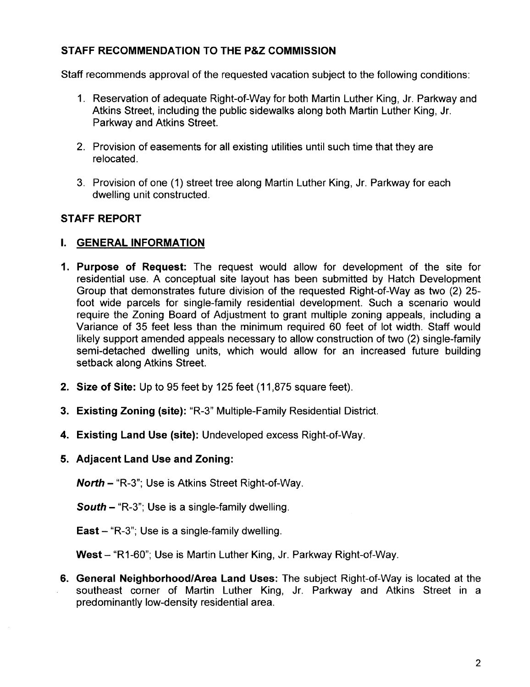# STAFF RECOMMENDATION TO THE P&Z COMMISSION

Staff recommends approval of the requested vacation subject to the following conditions:

- 1. Reservation of adequate Right-of-Way for both Martin Luther King, Jr. Parkway and Atkins Street, including the public sidewalks along both Martin Luther King, Jr. Parkway and Atkins Street.
- 2. Provision of easements for all existing utilities until such time that they are relocated.
- 3. Provision of one (1) street tree along Martin Luther King, Jr. Parkway for each dwelling unit constructed.

## STAFF REPORT

### I. GENERAL INFORMATION

- 1. Purpose of Request: The request would allow for development of the site for residential use. A conceptual site layout has been submitted by Hatch Development Group that demonstrates future division of the requested Right-of-Way as two (2) 25 foot wide parcels for single-family residential development. Such a scenario would require the Zoning Board of Adjustment to grant multiple zoning appeals, including a Variance of 35 feet less than the minimum required 60 feet of lot width. Staff would likely support amended appeals necessary to allow construction of two (2) single-family semi-detached dwelling units, which would allow for an increased future building setback along Atkins Street.
- 2. Size of Site: Up to 95 feet by 125 feet (11,875 square feet).
- 3. Existing Zoning (site): "R-3" Multiple-Family Residential District.
- 4. Existing Land Use (site): Undeveloped excess Right-of-Way.
- 5. Adjacent Land Use and Zoning:

North - "R-3"; Use is Atkins Street Right-of-Way.

**South - "R-3"; Use is a single-family dwelling.** 

East - "R-3"; Use is a single-family dwelling.

West - "R1-60"; Use is Martin Luther King, Jr. Parkway Right-of-Way.

6. General Neighborhood/Area Land Uses: The subject Right-of-Way is located at the southeast corner of Martin Luther King, Jr. Parkway and Atkins Street in a predominantly low-density residential area.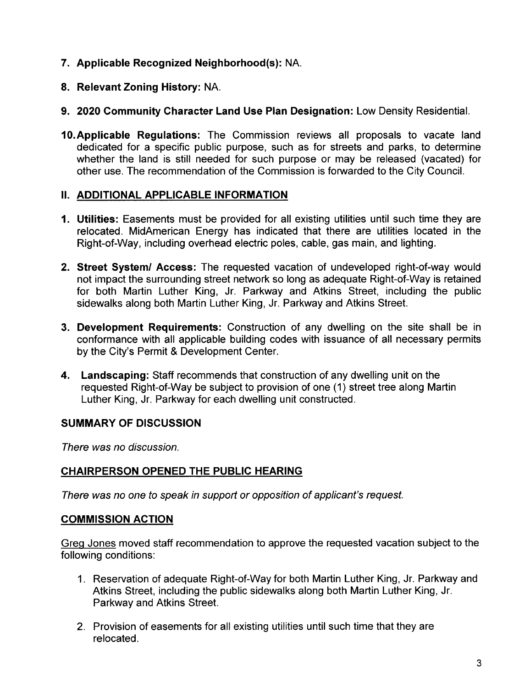- 7. Applicable Recognized Neighborhood(s): NA.
- 8. Relevant Zoning History: NA.
- 9. 2020 Community Character Land Use Plan Designation: Low Density ResidentiaL.
- 10.Applicable Regulations: The Commission reviews all proposals to vacate land dedicated for a specific public purpose, such as for streets and parks, to determine whether the land is still needed for such purpose or may be released (vacated) for other use. The recommendation of the Commission is forwarded to the City CounciL.

# II. ADDITIONAL APPLICABLE INFORMATION

- 1. Utilities: Easements must be provided for all existing utilities until such time they are relocated. MidAmerican Energy has indicated that there are utilities located in the Right-of-Way, including overhead electric poles, cable, gas main, and lighting.
- 2. Street System/ Access: The requested vacation of undeveloped right-of-way would not impact the surrounding street network so long as adequate Right-of-Way is retained for both Martin Luther King, Jr. Parkway and Atkins Street, including the public sidewalks along both Martin Luther King, Jr. Parkway and Atkins Street.
- 3. Development Requirements: Construction of any dwelling on the site shall be in conformance with all applicable building codes with issuance of all necessary permits by the City's Permit & Development Center.
- 4. Landscaping: Staff recommends that construction of any dwelling unit on the requested Right-of-Way be subject to provision of one (1) street tree along Martin Luther King, Jr. Parkway for each dwelling unit constructed.

# SUMMARY OF DISCUSSION

There was no discussion.

# CHAIRPERSON OPENED THE PUBLIC HEARING

There was no one to speak in support or opposition of applicant's request.

# COMMISSION ACTION

Greg Jones moved staff recommendation to approve the requested vacation subject to the following conditions:

- 1. Reservation of adequate Right-of-Way for both Martin Luther King, Jr. Parkway and Atkins Street, including the public sidewalks along both Martin Luther King, Jr. Parkway and Atkins Street.
- 2. Provision of easements for all existing utilities until such time that they are relocated.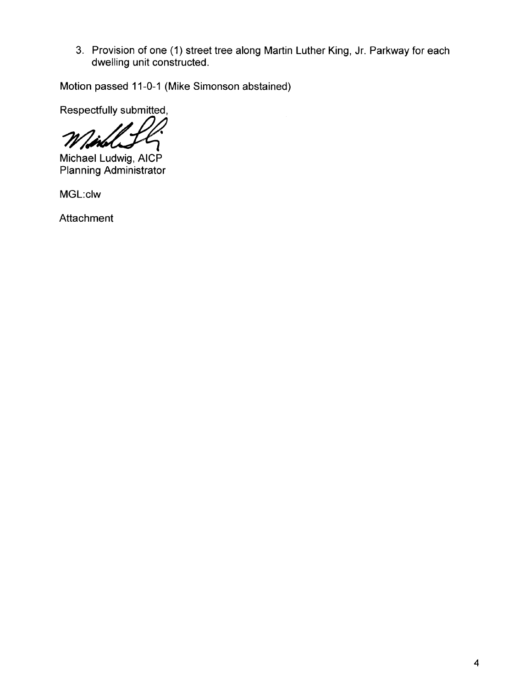3. Provision of one (1) street tree along Martin Luther King, Jr. Parkway for each dwelling unit constructed.

Motion passed 11-0-1 (Mike Simonson abstained)

Respectfully submitted,

/d

Michael Ludwig, AICP Planning Administrator

MGL:clw

Attachment